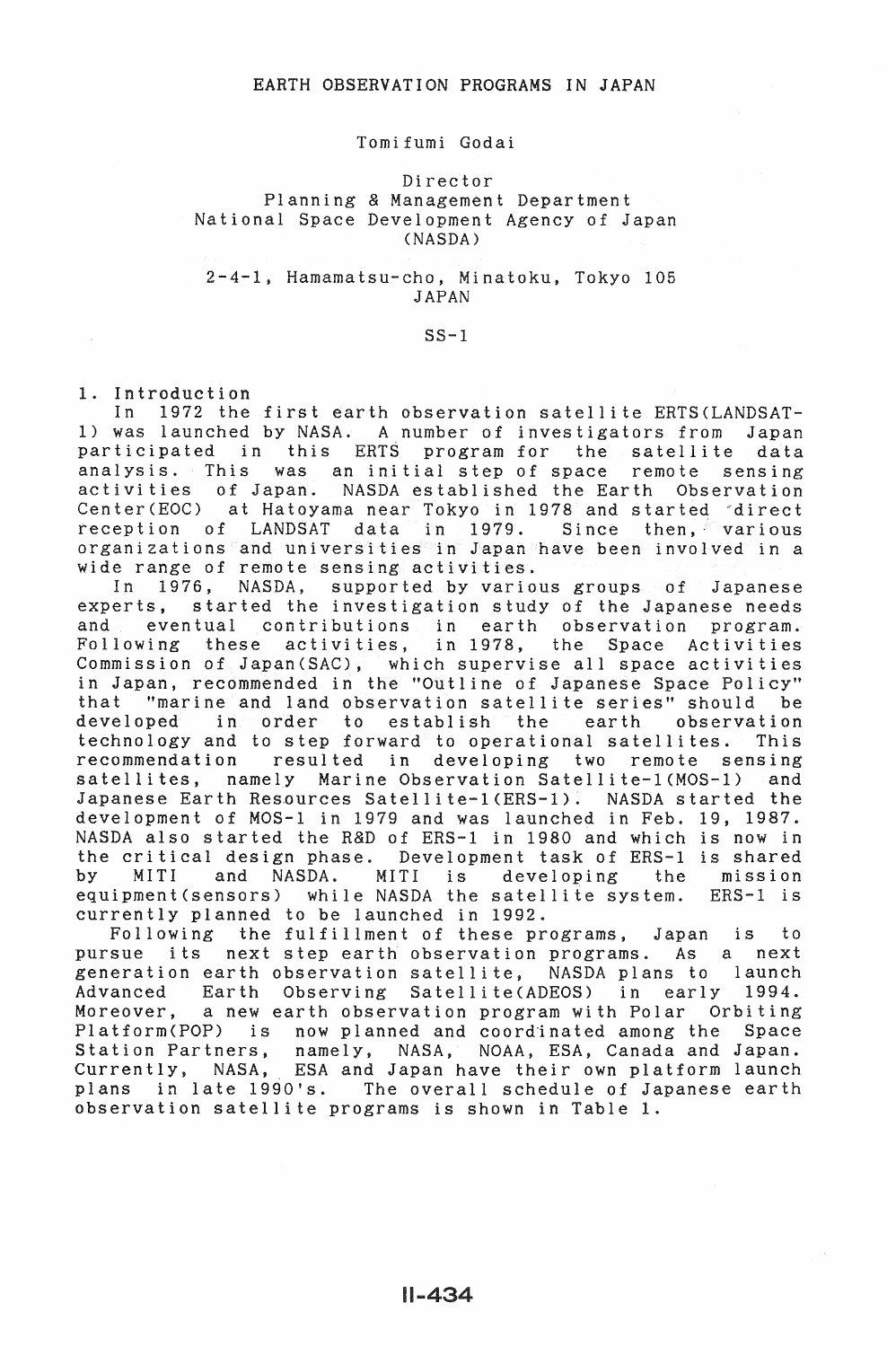## Tomifumi Godai

# Director Planning & Management Department National Space Development Agency of Japan CNASDA)

## 2-4-1, Hamamatsu-cho, Minatoku, Tokyo 105 JAPAN

## $SS-1$

1. Introduction

In 1972 the first earth observation satellite ERTS (LANDSAT-1) was launched by NASA. A number of investigators from Japan participated in this ERTS program for the satellite data analysis. This was an initial step of space remote sensing activities of Japan. NASDA established the Earth Observation Center(EOC) at Hatoyama near Tokyo in 1978 and started direct reception of LANDSAT data in 1979. Since then, various organizations and universities in Japan have been involved in a wide range of remote sensing activities.

In 1976, NASDA, supported by various groups of Japanese experts, started the investigation study of the Japanese needs and eventual contributions in earth observation program. Following these activities, in 1978, the Space Activities Commission of Japan(SAC), which supervise all space activities in Japan, recommended in the "Outline of Japanese Space Policy" "marine and land observation satellite series" should be<br>oped in order to establish the earth observation developed in order to establish the technology and to step forward to operational satellites. This recommendation resulted in developing two remote sensing satellites, namely Marine Observation Satellite-1(MOS-1) and Japanese Earth Resources Satellite-1(ERS-1). NASDA started the development of MOS-1 in 1979 and was launched in Feb. 19, 1987. NASDA also started the R&D of ERS-1 in 1980 and which is now in the critical design phase. Development task of ERS-1 is shared and NASDA. MITI is developing the mission equipment(sensors) while NASDA the satellite system. ERS-1 is currently planned to be launched in 1992.

Following the fulfillment of these programs, Japan is to pursue its next step earth observation programs. As a next generation earth observation satellite, NASDA plans to launch Advanced Earth Observing Satellite(ADEOS) in early 1994. Moreover, a new earth observation program with Polar Orbiting Platform(POP) is now planned and coordinated among the Space Station Partners, namely, NASA, NOAA, ESA, Canada and Japan. Currently, NASA, ESA and Japan have their own platform launch plans in late 1990's. The overall schedule of Japanese earth observation satellite programs is shown in Table 1.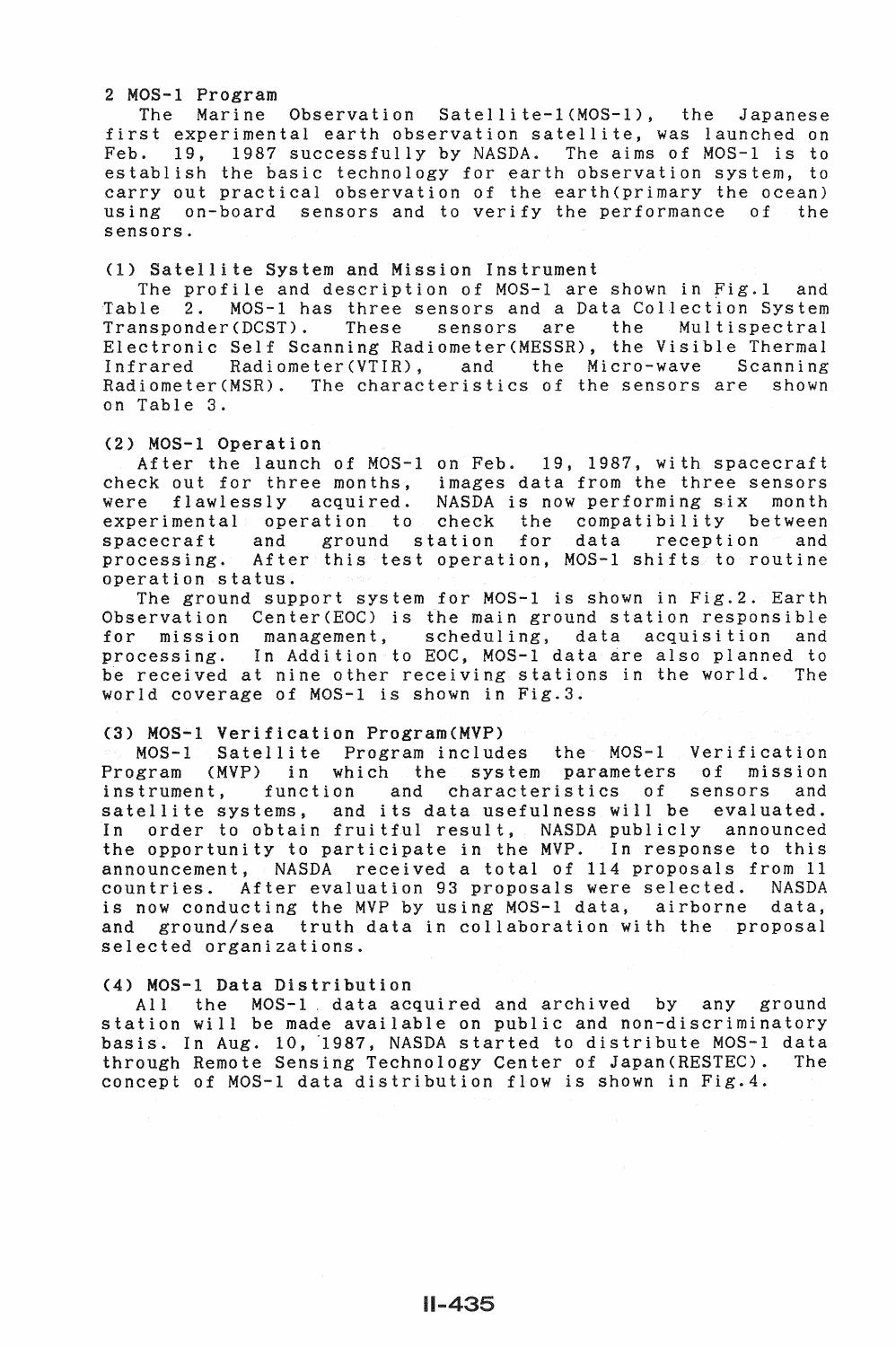# 2 MOS-1 Program

The Marine Observation Satellite-1(MOS-l), the Japanese first experimental earth observation satellite, was launched on Feb. 19, 1987 successfully by NASDA. The aims of MOS-1 is to establish the basic technology for earth observation system, to carry out practical observation of the earth(primary the ocean) using on-board sensors and to verify the performance of the sensors.

## (1) Satellite System and Mission Instrument

The profile and description of MOS-1 are shown in Fig.1 and<br>Table 2. MOS-1 has three sensors and a Data Collection System Table 2. MOS-1 has three sensors and a Data Collection System<br>Transponder(DCST). These sensors are the Multispectral These sensors are the Electronic Self Scanning Radiometer(MESSR), the Visible Thermal<br>Infrared Radiometer(VTIR), and the Micro-wave Scanning Radiometer(VTIR), and the Micro-wave Scanning Radiometer(MSR). The characteristics of the sensors are shown on Table 3.

### (2) MOS-1 Operation

After the launch of MOS-1 on Feb. 19, 1987, with spacecraft check out for three months, images data from the three sensors were flawlessly acquired. NASDA is now performing six month experimental operation to check the compatibility between spacecraft and ground station for data reception and processing. After this test operation, MOS-1 shifts to routine operation status.

The ground support system for MOS-1 is shown in Fig.2. Earth Observation Center(EOC) is the main ground station responsible for mission management, scheduling, data acquisition and processing. In Addition to EOC, MOS-1 data are also planned to be received at nine other receiving stations in the world. The world coverage of MOS-1 is shown in Fig.3.

#### (3) MOS-1 Verification Program(MVP)

MOS-1 Satellite Program includes the MOS-1 Verification Program (MVP) in which the system parameters of mission<br>instrument, function and characteristics of sensors and instrument, function and characteristics of sensors and satellite systems, and its data usefulness will be evaluated. In order to obtain fruitful result, NASDA publicly announced the opportunity to participate in the MVP. In response to this announcement, NASDA received a total of 114 proposals from 11 countries. After evaluation 93 proposals were selected. NASDA countries. After evaluation 93 proposals were selected. is now conducting the MVP by using MOS-1 data, airborne data, and ground/sea truth data in collaboration with the proposal selected organizations.

## (4) MOS-1 Data Distribution

All the MOS-1 data acquired and archived by any ground station will be made available on public and non-discriminatory basis. In Aug. 10, 1987, NASDA started to distribute MOS-1 data through Remote Sensing Technology Center of Japan(RESTEC). The concept of MOS-1 data distribution flow is shown in Fig.4.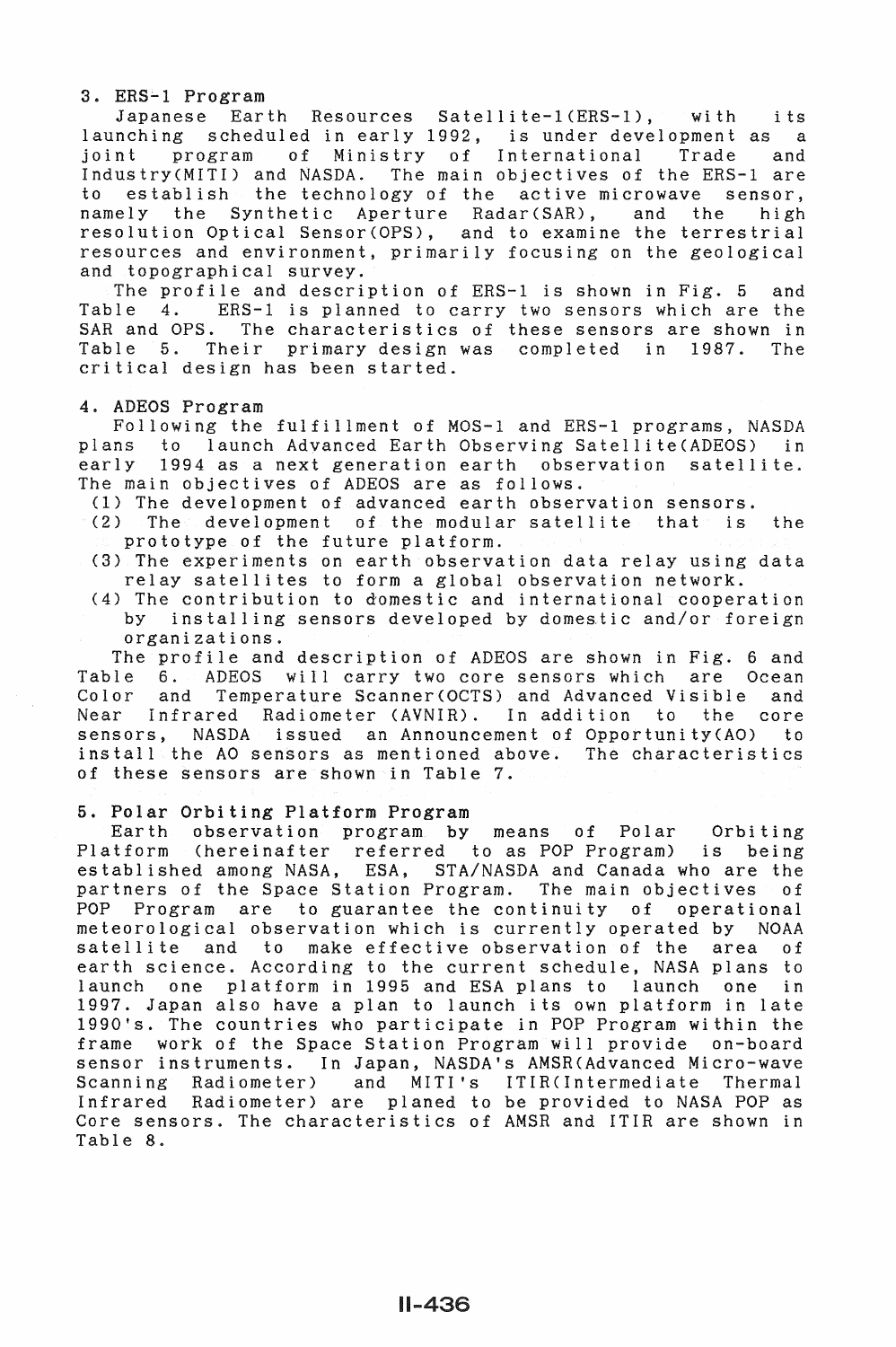## 3. ERS-1 Program

Japanese Earth Resources Satellite-1(ERS-1), with its launching scheduled in early 1992, is under development as a joint program of Ministry of International Trade and joint program of Ministry of International Trade and<br>Industry(MITI) and NASDA. The main objectives of the ERS-1 are establish the technology of the active microwave sensor,<br>ly the Synthetic Aperture Radar(SAR), and the high namely the Synthetic Aperture Radar(SAR), and the resolution Optical Sensor(OPS), and to examine the terrestrial resources and environment, primarily focusing on the geological and topographical survey.

The profile and description of  $ERS-1$  is shown in Fig. 5 and Table 4.  $ERS-1$  is planned to carry two sensors which are the Table 4. ERS-1 is planned to carry two sensors which are the<br>SAR and OPS. The characteristics of these sensors are shown in The characteristics of these sensors are shown in Table 5. Their primary design was completed in 1987. The critical design has been started.

# 4. ADEOS Program

Following the fulfillment of MOS-1 and ERS-1 programs, NASDA to launch Advanced Earth Observing Satellite(ADEOS) in early 1994 as a next generation earth observation satellite. The main objectives of ADEOS are as follows.

(1) The development of advanced earth observation sensors.

(2) The development of the modular satellite that is the prototype of the future platform.

- (3) The experiments on earth observation data relay using data relay satellites to form a global observation network.
- (4) The contribution to domestic and international cooperation<br>by installing sensors developed by domestic and/or foreign installing sensors developed by domestic and/or foreign organizations.

The profile and description of ADEOS are shown in Fig. 6 and Table 6. ADEOS will carry two core sensors which are Ocean Color and Temperature Scanner(OCTS) and Advanced Visible and<br>Near Infrared Radiometer (AVNIR). In addition to the core Infrared Radiometer (AVNIR). In addition sensors, NASDA issued an Announcement of Opportunity(AO) to install the AO sensors as mentioned above. The characteristics of these sensors are shown in Table 7.

### 5. Polar Orbiting Platform Program

Earth observation program by means of Polar Orbiting Platform (hereinafter referred to as POP Program) is being established among NASA, ESA, STA/NASDA and Canada who are the partners of the Space Station Program. The main objectives of<br>POP Program are to guarantee the continuity of operational Program are to guarantee the continuity of operational meteorological observation which is currently operated by NOAA satellite and to make effective observation of the area of earth science. According to the current schedule, NASA plans to launch one platform in 1995 and ESA plans to launch one in 1997. Japan also have a plan to launch its own platform in late 1990's. The countries who participate in POP Program within the frame work of the Space Station Program will provide on-board sensor instruments. In Japan, NASDA's AMSRCAdvanced Micro-wave Scanning Radiometer) and MITI's ITIRCintermediate Thermal Infrared Radiometer) are planed to be provided to NASA POP as Core sensors. The characteristics of AMSR and ITIR are shown in Table 8.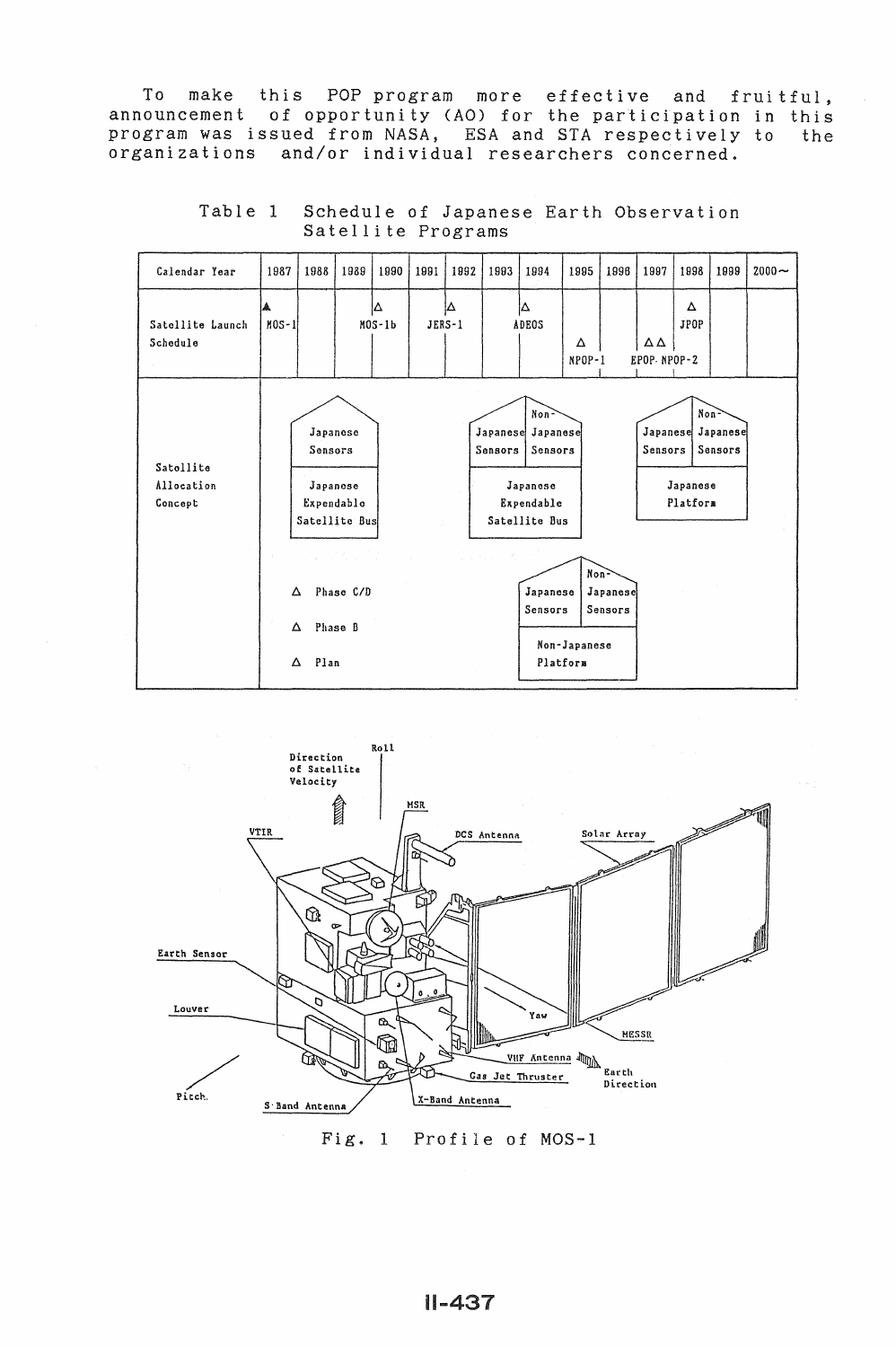To make this POP program more effective and fruitful, announcement of opportunity (AO) for the participation in this program was issued from NASA, ESA and STA respectively to the organizations and/or individual researchers concerned.

| Calendar Year                      | 1987           | 1988                                                                                  | 1989                                                                                                                                                                                                                                                                                                                                                                                                                                                                          | 1990           | 1991     | 1992 | 1993                                                                                           | 1994                                                                                                                  | 1995                 | 1996                | 1997                | 1998                 | 1999                                    | $2000 -$ |
|------------------------------------|----------------|---------------------------------------------------------------------------------------|-------------------------------------------------------------------------------------------------------------------------------------------------------------------------------------------------------------------------------------------------------------------------------------------------------------------------------------------------------------------------------------------------------------------------------------------------------------------------------|----------------|----------|------|------------------------------------------------------------------------------------------------|-----------------------------------------------------------------------------------------------------------------------|----------------------|---------------------|---------------------|----------------------|-----------------------------------------|----------|
| Satellite Launch<br>Schedule       | $MOS-1$        |                                                                                       |                                                                                                                                                                                                                                                                                                                                                                                                                                                                               | lΔ<br>$MOS-1b$ | $JERS-1$ | lΔ   |                                                                                                | ıΔ<br>ADEOS                                                                                                           | Δ<br>NPOP-1          |                     | ΔΔ<br>EPOP-NPOP-2   | Δ<br><b>JPOP</b>     |                                         |          |
| Satellite<br>Allocation<br>Concept | $\sim 10^{-1}$ | Japanese<br>Sensors<br>Japanese<br>Expendablo<br>Satellite Bus<br>Δ<br>Δ<br>Plan<br>Δ | $\label{eq:2.1} \frac{1}{2} \left( \frac{1}{2} \left( \frac{1}{2} \left( \frac{1}{2} \left( \frac{1}{2} \right) \right) \right) \right)^{2} \left( \frac{1}{2} \left( \frac{1}{2} \left( \frac{1}{2} \right) \right) \right)^{2} \left( \frac{1}{2} \left( \frac{1}{2} \right) \right)^{2} \left( \frac{1}{2} \left( \frac{1}{2} \right) \right)^{2} \left( \frac{1}{2} \left( \frac{1}{2} \right) \right)^{2} \left( \frac{1}{2} \left( \frac{1}{2}$<br>Phase C/D<br>Phase B |                |          |      | Japanese<br>Sensors<br>$\mathcal{L} = \{L_1, L_2, \ldots, L_n\}$ , $\mathcal{L} = \mathcal{L}$ | Non <sup>2</sup><br>Japanese<br>Sensors<br>Japanese<br>Expendable<br>Satellite Bus<br>Japanese<br>Sensors<br>Platform | Non-<br>Non-Japanese | Japanese<br>Sensors | Japanese<br>Sensors | Japanese<br>Platform | Non <sup>2</sup><br>Japanese<br>Sensors |          |

Table 1 Schedule of Japanese Earth Observation Satellite Programs



Fig. 1 Profile of MOS-1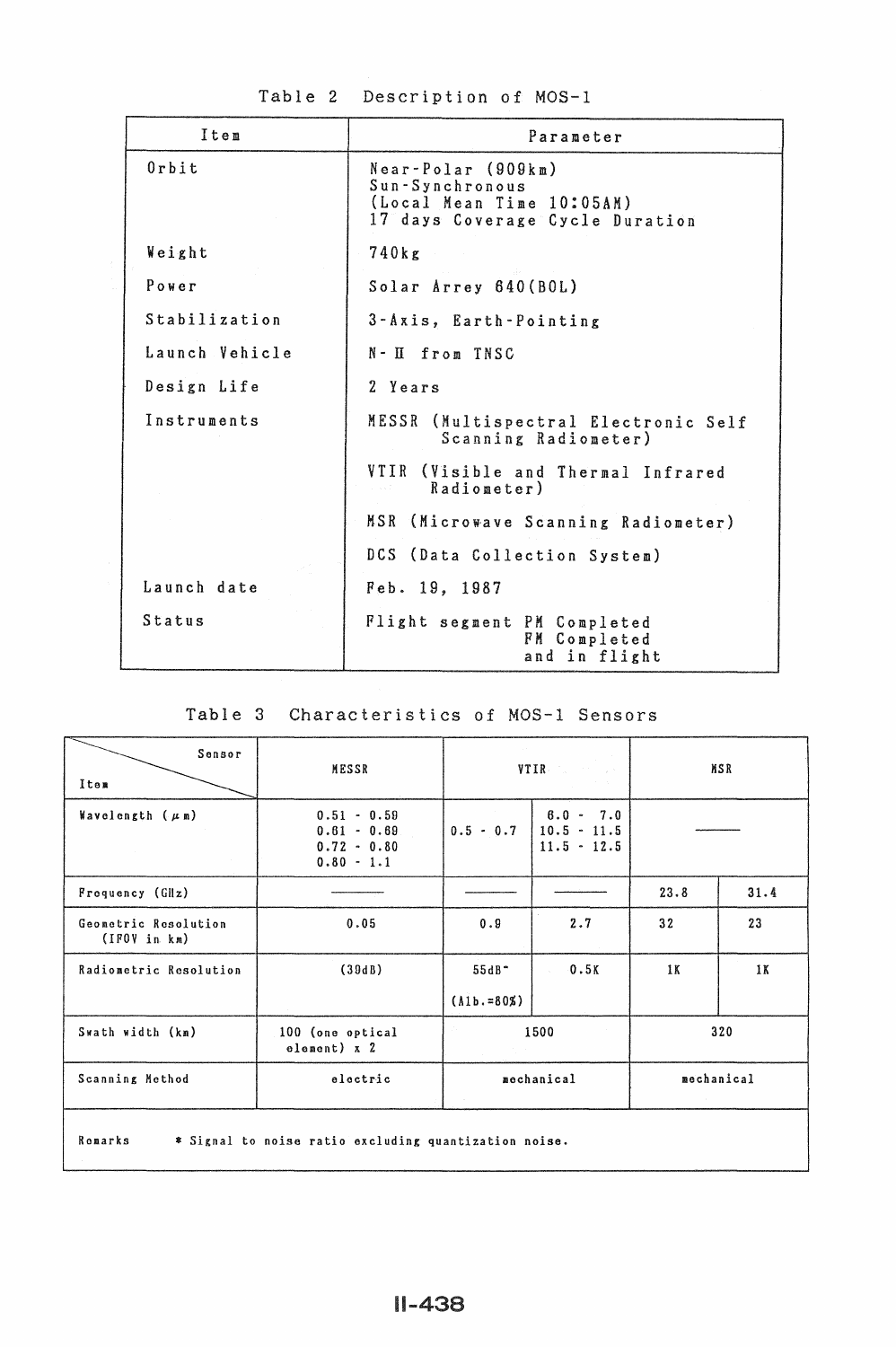| Table 2 Description of MOS-1 |
|------------------------------|
|------------------------------|

| Item           | Parameter                                                                                             |  |  |  |  |
|----------------|-------------------------------------------------------------------------------------------------------|--|--|--|--|
| $0$ rbit       | Near-Polar (909km)<br>Sun-Synchronous<br>(Local Mean Time 10:05AM)<br>17 days Coverage Cycle Duration |  |  |  |  |
| Weight         | 740kg                                                                                                 |  |  |  |  |
| Power          | Solar Arrey 640 (BOL)                                                                                 |  |  |  |  |
| Stabilization  | 3-Axis, Earth-Pointing                                                                                |  |  |  |  |
| Launch Vehicle | N-II from TNSC                                                                                        |  |  |  |  |
| Design Life    | 2 Years                                                                                               |  |  |  |  |
| Instruments    | MESSR (Multispectral Electronic Self<br>Scanning Radiometer)                                          |  |  |  |  |
|                | VTIR (Visible and Thermal Infrared<br>Radiometer)                                                     |  |  |  |  |
|                | MSR (Microwave Scanning Radiometer)                                                                   |  |  |  |  |
|                | DCS (Data Collection System)                                                                          |  |  |  |  |
| Launch date    | Feb. 19, 1987                                                                                         |  |  |  |  |
| Status         | Flight segment PM Completed<br>FM Completed<br>and in flight                                          |  |  |  |  |

# Table 3 Characteristics of MOS-1 Sensors

| Sensor<br>MESSR<br>Item               |                                                                 |                           | VTIR Communication                            | <b>MSR</b> |      |
|---------------------------------------|-----------------------------------------------------------------|---------------------------|-----------------------------------------------|------------|------|
| Wavelength $(\mu n)$                  | $0.51 - 0.59$<br>$0.61 - 0.69$<br>$0.72 - 0.80$<br>$0.80 - 1.1$ | $0.5 - 0.7$               | $8.0 - 7.0$<br>$10.5 - 11.5$<br>$11.5 - 12.5$ |            |      |
| Frequency (GHz)                       |                                                                 |                           |                                               | 23.8       | 31.4 |
| Geometric Resolution<br>(IPOV in km)) | 0.05                                                            | 0.9                       | 2.7                                           | 32         | 23   |
| Radiometric Resolution                | (39dB)                                                          | $55dB -$<br>$(Alb.=80\%)$ | 0.5K                                          | 1 K        | 1K   |
| Swath width (km)                      | 100 (one optical<br>element) x 2                                |                           | 1500                                          |            | 320  |
| Scanning Method                       | mechanical<br>electric<br>mechanical                            |                           |                                               |            |      |
| Romarks                               | * Signal to noise ratio excluding quantization noise.           |                           |                                               |            |      |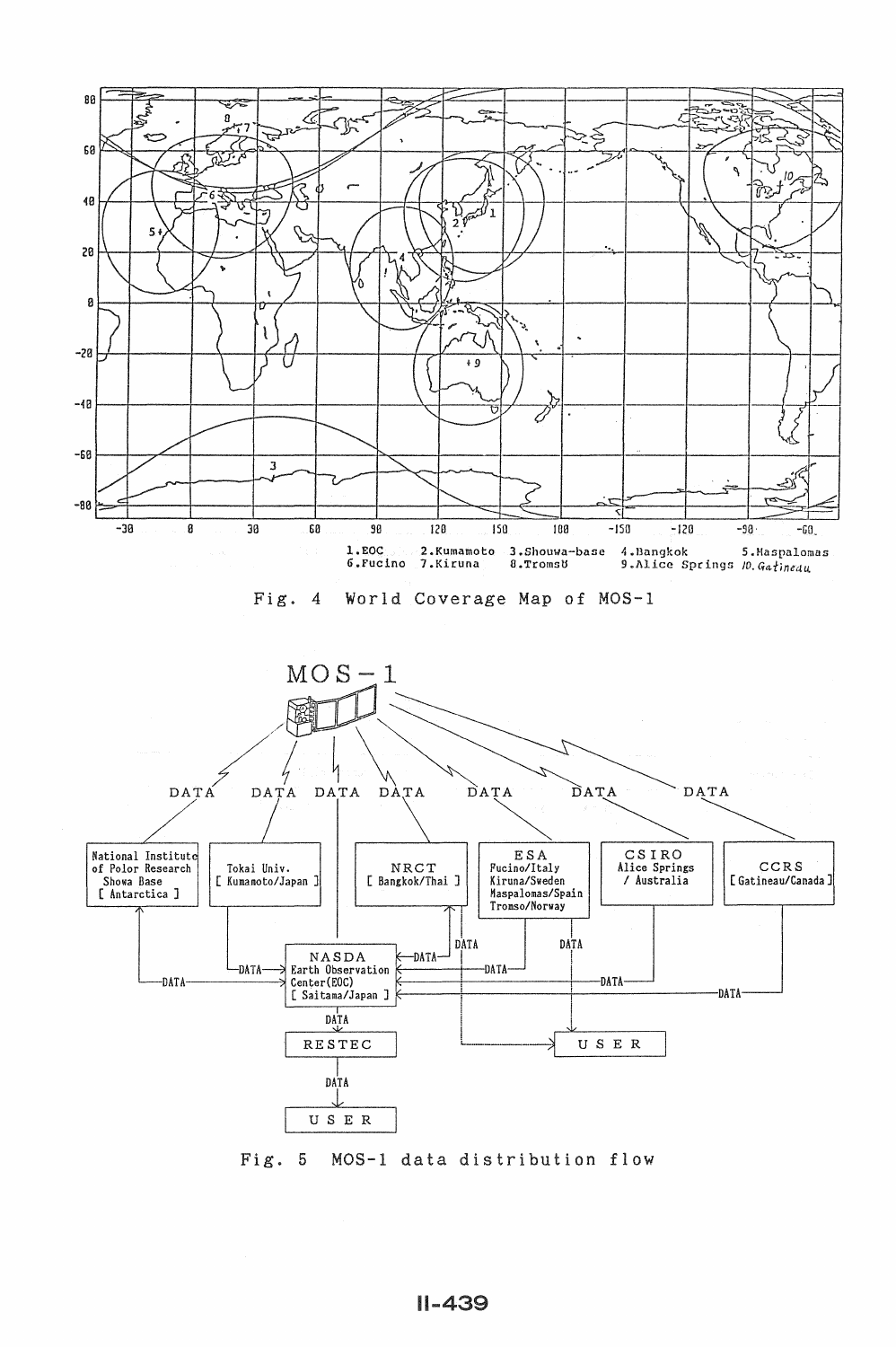

Fig. 5 MOS-1 data distribution flow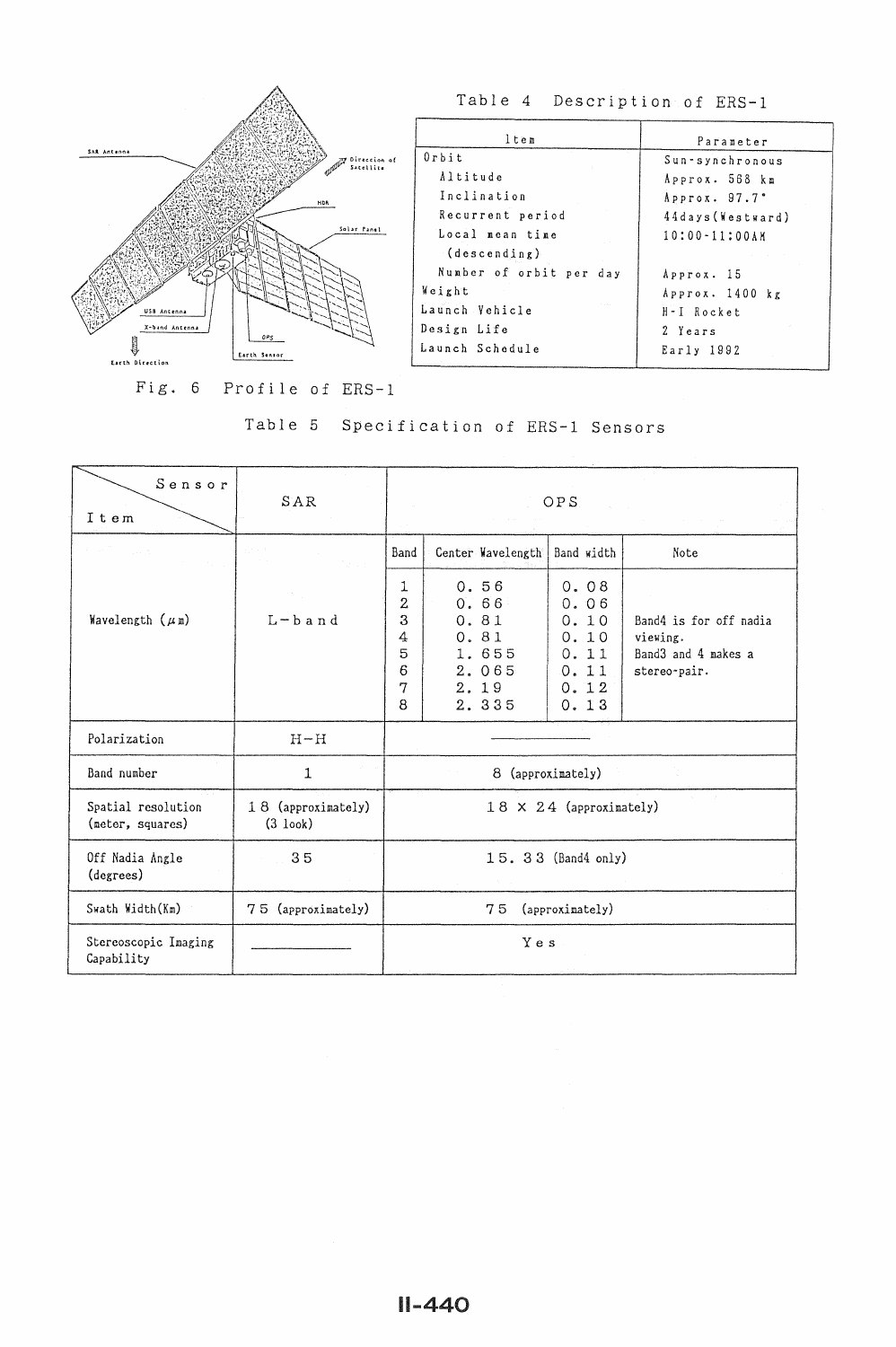

Table 4 Description of ERS-1

| ltem                    | Parameter               |
|-------------------------|-------------------------|
| $0$ rbit                | Sun-synchronous         |
| Altitude                | Approx. 568 km          |
| Inclination             | Approx. 97.7°           |
| Recurrent period        | 44days (Westward)       |
| Local mean time         | $10:00 - 11:00AN$       |
| (descending)            |                         |
| Number of orbit per day | Approx. 15              |
| Weight                  | $A$ pprox. $1400$ $k$ g |
| Launch Vehicle          | H-I Rocket              |
| Design Life             | 2 Years                 |
| Launch Schedule         | Early 1992              |
|                         |                         |

Fig. 6 Profile of ERS-1

|                                                                                    | Table 5      |                                                   | Specification of ERS-1 Sensors                                  |                                                              |                                                                           |
|------------------------------------------------------------------------------------|--------------|---------------------------------------------------|-----------------------------------------------------------------|--------------------------------------------------------------|---------------------------------------------------------------------------|
| Sensor<br>Item                                                                     | SAR          |                                                   |                                                                 | OPS                                                          |                                                                           |
| <b>County</b>                                                                      | 20000        | Band                                              | Center Wavelength                                               | Band width                                                   | Note                                                                      |
| Wavelength $(\mu n)$                                                               | $L - b$ and  | 1<br>$\overline{2}$<br>3<br>4<br>5<br>6<br>7<br>8 | 0.56<br>0.66<br>0.81<br>0.81<br>1.655<br>2.065<br>2.19<br>2.335 | 0.08<br>0.06<br>0.10<br>0.10<br>0.11<br>0.11<br>0.12<br>0.13 | Band4 is for off nadia<br>viewing.<br>Band3 and 4 makes a<br>stereo-pair. |
| Polarization                                                                       | $H-H$        |                                                   |                                                                 |                                                              |                                                                           |
| Band number                                                                        | $\mathbf{1}$ |                                                   |                                                                 | 8 (approximately)                                            |                                                                           |
| Spatial resolution<br>18 (approximately)<br>(meter, squares)<br>$(3 \text{ look})$ |              | $18 \times 24$ (approximately)                    |                                                                 |                                                              |                                                                           |
| Off Nadia Angle<br>35<br>(degrees)                                                 |              | 15. 33 (Band4 only)                               |                                                                 |                                                              |                                                                           |
| Swath Width (Km)<br>75 (approximately)                                             |              | 75<br>(approximately)                             |                                                                 |                                                              |                                                                           |
| Stereoscopic Imaging<br>Capability                                                 |              |                                                   | Yes                                                             |                                                              |                                                                           |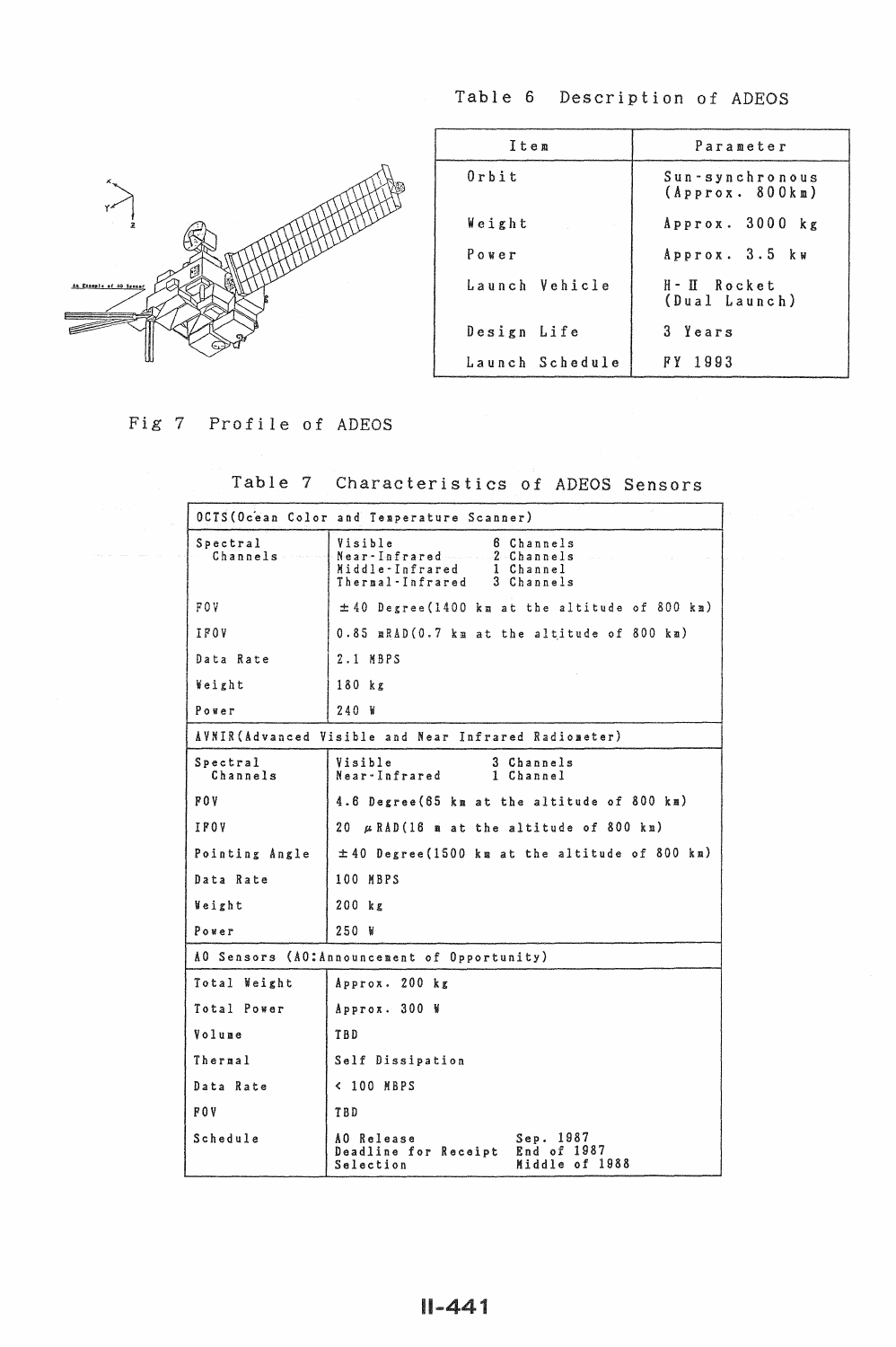Table 6 Description of ADEOS



| Item            | Parameter                          |
|-----------------|------------------------------------|
| $0$ rbit        | Sun-synchronous<br>(Approx. 800km) |
| Weight          | Approx. 3000 kg                    |
| Power           | Approx. 3.5 kw                     |
| Launch Vehicle  | H-II Rocket<br>(Dual Launch)       |
| Design Life     | 3 Years                            |
| Launch Schedule | 1993<br>FY.                        |

Fig 7 Profile of ADEOS

Table 7 Characteristics of ADEOS Sensors

|                      | OCTS (Ocean Color and Temperature Scanner)                                                                                        |  |  |  |  |
|----------------------|-----------------------------------------------------------------------------------------------------------------------------------|--|--|--|--|
| Spectral<br>Channels | Visible<br>6 Channels<br>Near-Infrared 2 Channels<br>Middle-Infrared<br>$\mathbf{1}$<br>Channel<br>Thermal-Infrared<br>3 Channels |  |  |  |  |
| F O V                | $\pm$ 40 Degree (1400 km at the altitude of 800 km)                                                                               |  |  |  |  |
| IF0V                 | $0.85$ mRAD $(0.7$ km at the altitude of 800 km)                                                                                  |  |  |  |  |
| Data Rate            | $2.1$ MBPS                                                                                                                        |  |  |  |  |
| Weight               | 180 kg                                                                                                                            |  |  |  |  |
| Power                | 240 W                                                                                                                             |  |  |  |  |
|                      | AVNIR(Advanced Visible and Near Infrared Radiometer)                                                                              |  |  |  |  |
| Spectral<br>Channels | Visible<br>3 Channels<br>Near-Infrared<br>1 Channel                                                                               |  |  |  |  |
| <b>FOV</b>           | 4.6 Degree (65 km at the altitude of 800 km)                                                                                      |  |  |  |  |
| IFOV                 | 20 $\mu$ RAD(16 m at the altitude of 800 km)                                                                                      |  |  |  |  |
| Pointing Angle       | $\pm$ 40 Degree (1500 km at the altitude of 800 km)                                                                               |  |  |  |  |
| Data Rate            | 100 MBPS                                                                                                                          |  |  |  |  |
| Weight               | 200 kg                                                                                                                            |  |  |  |  |
| Power                | 250 W                                                                                                                             |  |  |  |  |
|                      | AO Sensors (AO:Announcement of Opportunity)                                                                                       |  |  |  |  |
| Total Weight         | Approx. 200 kg                                                                                                                    |  |  |  |  |
| Total Power          | Approx. 300 W                                                                                                                     |  |  |  |  |
| Volume               | TBD                                                                                                                               |  |  |  |  |
| Thermal              | Self Dissipation                                                                                                                  |  |  |  |  |
| Data Rate            | < 100 MBPS                                                                                                                        |  |  |  |  |
| POV.                 | TBD                                                                                                                               |  |  |  |  |
| Schedule             | 1987<br>AO Release<br>Sep.<br>1987<br>End of<br>Deadline for Receipt<br>Middle of 1988<br>Selection                               |  |  |  |  |